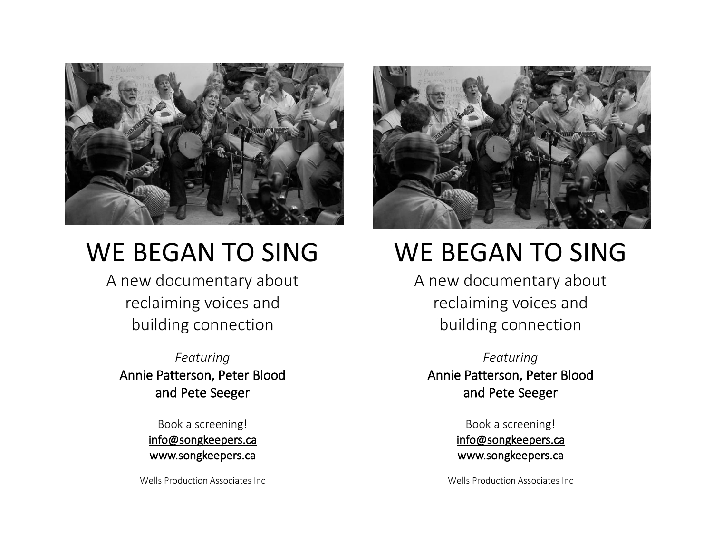

# WE BEGAN TO SING

A new documentary about reclaiming voices and building connection

*Featuring* Annie Patterson, Peter Blood and Pete Seeger

> Book a screening! [info@songkeepers.ca](mailto:info@songkeepers.ca) [www.songkeepers.ca](http://www.songkeepers.ca/)

Wells Production Associates Inc



# WE BEGAN TO SING

A new documentary about reclaiming voices and building connection

*Featuring* Annie Patterson, Peter Blood and Pete Seeger

> Book a screening! [info@songkeepers.ca](mailto:info@songkeepers.ca) [www.songkeepers.ca](http://www.songkeepers.ca/)

Wells Production Associates Inc